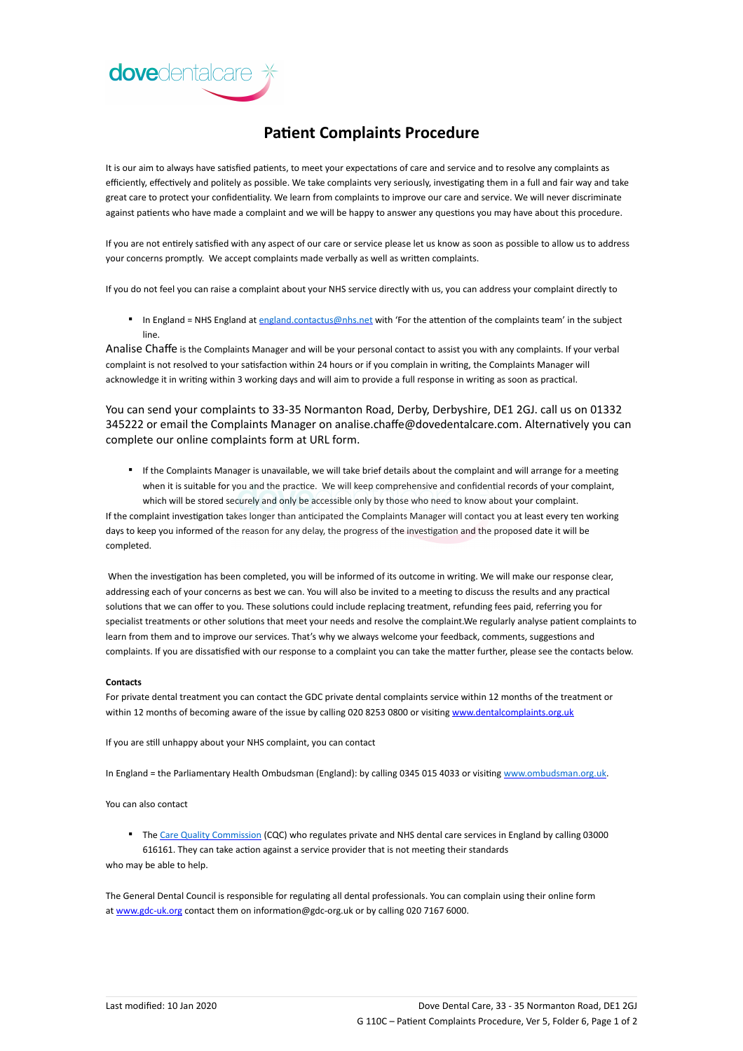

## **Patient Complaints Procedure**

It is our aim to always have satisfied patients, to meet your expectations of care and service and to resolve any complaints as efficiently, effectively and politely as possible. We take complaints very seriously, investigating them in a full and fair way and take great care to protect your confidentiality. We learn from complaints to improve our care and service. We will never discriminate against patients who have made a complaint and we will be happy to answer any questions you may have about this procedure.

If you are not entirely satisfied with any aspect of our care or service please let us know as soon as possible to allow us to address your concerns promptly. We accept complaints made verbally as well as written complaints.

If you do not feel you can raise a complaint about your NHS service directly with us, you can address your complaint directly to

■ In England = NHS England at [england.contactus@nhs.net](mailto:england.contactus@nhs.net) with 'For the attention of the complaints team' in the subject line.

Analise Chaffe is the Complaints Manager and will be your personal contact to assist you with any complaints. If your verbal complaint is not resolved to your satisfaction within 24 hours or if you complain in writing, the Complaints Manager will acknowledge it in writing within 3 working days and will aim to provide a full response in writing as soon as practical.

You can send your complaints to 33-35 Normanton Road, Derby, Derbyshire, DE1 2GJ. call us on 01332 345222 or email the Complaints Manager on analise.chaffe@dovedentalcare.com. Alternatively you can complete our online complaints form at URL form.

▪ If the Complaints Manager is unavailable, we will take brief details about the complaint and will arrange for a meeting when it is suitable for you and the practice. We will keep comprehensive and confidential records of your complaint, which will be stored securely and only be accessible only by those who need to know about your complaint.

If the complaint investigation takes longer than anticipated the Complaints Manager will contact you at least every ten working days to keep you informed of the reason for any delay, the progress of the investigation and the proposed date it will be completed.

When the investigation has been completed, you will be informed of its outcome in writing. We will make our response clear, addressing each of your concerns as best we can. You will also be invited to a meeting to discuss the results and any practical solutions that we can offer to you. These solutions could include replacing treatment, refunding fees paid, referring you for specialist treatments or other solutions that meet your needs and resolve the complaint.We regularly analyse patient complaints to learn from them and to improve our services. That's why we always welcome your feedback, comments, suggestions and complaints. If you are dissatisfied with our response to a complaint you can take the matter further, please see the contacts below.

## **Contacts**

For private dental treatment you can contact the GDC private dental complaints service within 12 months of the treatment or within 12 months of becoming aware of the issue by calling 020 8253 0800 or visiting [www.dentalcomplaints.org.uk](http://www.dentalcomplaints.org.uk/)

If you are still unhappy about your NHS complaint, you can contact

In England = the Parliamentary Health Ombudsman (England): by calling 0345 015 4033 or visiting [www.ombudsman.org.uk.](http://www.ombudsman.org.uk/)

You can also contact

■ The [Care Quality Commission](http://www.cqc.org.uk/) (CQC) who regulates private and NHS dental care services in England by calling 03000 616161. They can take action against a service provider that is not meeting their standards

who may be able to help.

The General Dental Council is responsible for regulating all dental professionals. You can complain using their online form at [www.gdc-uk.org](http://contactus.gdc-uk.org/Enquiry/SelectType) contact them on information@gdc-org.uk or by calling 020 7167 6000.